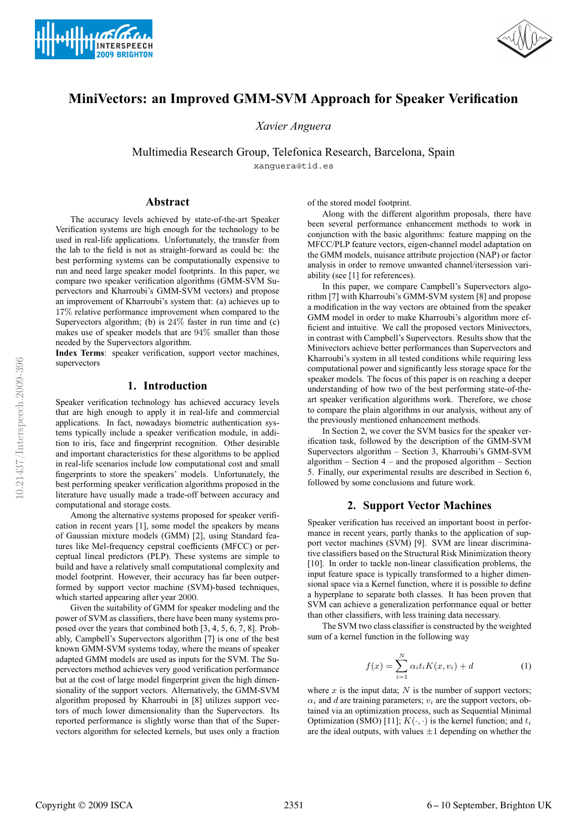



# **MiniVectors: an Improved GMM-SVM Approach for Speaker Verification**

*Xavier Anguera*

Multimedia Research Group, Telefonica Research, Barcelona, Spain xanguera@tid.es

#### **Abstract**

The accuracy levels achieved by state-of-the-art Speaker Verification systems are high enough for the technology to be used in real-life applications. Unfortunately, the transfer from the lab to the field is not as straight-forward as could be: the best performing systems can be computationally expensive to run and need large speaker model footprints. In this paper, we compare two speaker verification algorithms (GMM-SVM Supervectors and Kharroubi's GMM-SVM vectors) and propose an improvement of Kharroubi's system that: (a) achieves up to 17% relative performance improvement when compared to the Supervectors algorithm; (b) is 24% faster in run time and (c) makes use of speaker models that are 94% smaller than those needed by the Supervectors algorithm.

**Index Terms**: speaker verification, support vector machines, supervectors

## **1. Introduction**

Speaker verification technology has achieved accuracy levels that are high enough to apply it in real-life and commercial applications. In fact, nowadays biometric authentication systems typically include a speaker verification module, in addition to iris, face and fingerprint recognition. Other desirable and important characteristics for these algorithms to be applied in real-life scenarios include low computational cost and small fingerprints to store the speakers' models. Unfortunately, the best performing speaker verification algorithms proposed in the literature have usually made a trade-off between accuracy and computational and storage costs.

Among the alternative systems proposed for speaker verification in recent years [1], some model the speakers by means of Gaussian mixture models (GMM) [2], using Standard features like Mel-frequency cepstral coefficients (MFCC) or perceptual lineal predictors (PLP). These systems are simple to build and have a relatively small computational complexity and model footprint. However, their accuracy has far been outperformed by support vector machine (SVM)-based techniques, which started appearing after year 2000.

Given the suitability of GMM for speaker modeling and the power of SVM as classifiers, there have been many systems proposed over the years that combined both [3, 4, 5, 6, 7, 8]. Probably, Campbell's Supervectors algorithm [7] is one of the best known GMM-SVM systems today, where the means of speaker adapted GMM models are used as inputs for the SVM. The Supervectors method achieves very good verification performance but at the cost of large model fingerprint given the high dimensionality of the support vectors. Alternatively, the GMM-SVM algorithm proposed by Kharroubi in [8] utilizes support vectors of much lower dimensionality than the Supervectors. Its reported performance is slightly worse than that of the Supervectors algorithm for selected kernels, but uses only a fraction of the stored model footprint.

Along with the different algorithm proposals, there have been several performance enhancement methods to work in conjunction with the basic algorithms: feature mapping on the MFCC/PLP feature vectors, eigen-channel model adaptation on the GMM models, nuisance attribute projection (NAP) or factor analysis in order to remove unwanted channel/itersession variability (see [1] for references).

In this paper, we compare Campbell's Supervectors algorithm [7] with Kharroubi's GMM-SVM system [8] and propose a modification in the way vectors are obtained from the speaker GMM model in order to make Kharroubi's algorithm more efficient and intuitive. We call the proposed vectors Minivectors, in contrast with Campbell's Supervectors. Results show that the Minivectors achieve better performances than Supervectors and Kharroubi's system in all tested conditions while requiring less computational power and significantly less storage space for the speaker models. The focus of this paper is on reaching a deeper understanding of how two of the best performing state-of-theart speaker verification algorithms work. Therefore, we chose to compare the plain algorithms in our analysis, without any of the previously mentioned enhancement methods.

In Section 2, we cover the SVM basics for the speaker verification task, followed by the description of the GMM-SVM Supervectors algorithm – Section 3, Kharroubi's GMM-SVM algorithm  $-$  Section  $4$  – and the proposed algorithm  $-$  Section 5. Finally, our experimental results are described in Section 6, followed by some conclusions and future work.

## **2. Support Vector Machines**

Speaker verification has received an important boost in performance in recent years, partly thanks to the application of support vector machines (SVM) [9]. SVM are linear discriminative classifiers based on the Structural Risk Minimization theory [10]. In order to tackle non-linear classification problems, the input feature space is typically transformed to a higher dimensional space via a Kernel function, where it is possible to define a hyperplane to separate both classes. It has been proven that SVM can achieve a generalization performance equal or better than other classifiers, with less training data necessary.

The SVM two class classifier is constructed by the weighted sum of a kernel function in the following way

$$
f(x) = \sum_{i=1}^{N} \alpha_i t_i K(x, v_i) + d
$$
 (1)

where  $x$  is the input data;  $N$  is the number of support vectors;  $\alpha_i$  and d are training parameters;  $v_i$  are the support vectors, obtained via an optimization process, such as Sequential Minimal Optimization (SMO) [11];  $K(\cdot, \cdot)$  is the kernel function; and  $t_i$ are the ideal outputs, with values  $\pm 1$  depending on whether the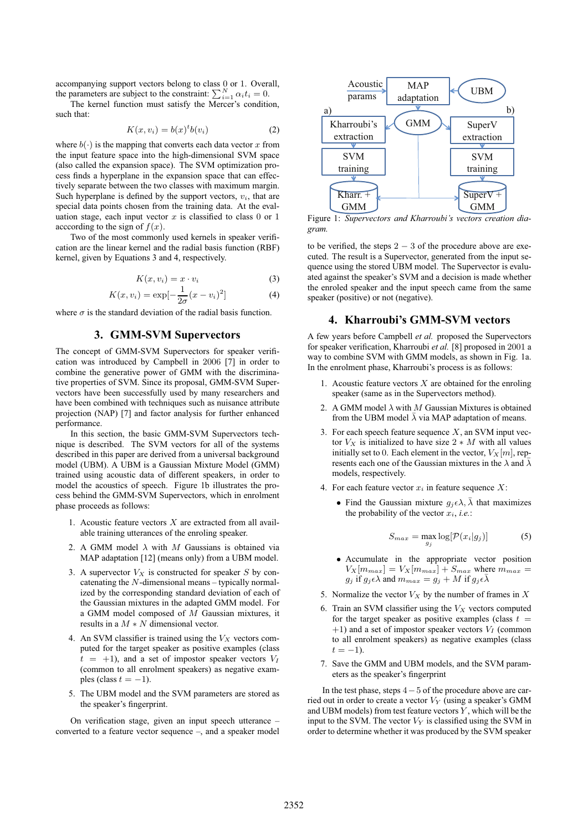accompanying support vectors belong to class 0 or 1. Overall, the parameters are subject to the constraint:  $\sum_{i=1}^{N} \alpha_i t_i = 0$ .

The kernel function must satisfy the Mercer's condition, such that:

$$
K(x, v_i) = b(x)^t b(v_i)
$$
 (2)

where  $b(\cdot)$  is the mapping that converts each data vector x from the input feature space into the high-dimensional SVM space (also called the expansion space). The SVM optimization process finds a hyperplane in the expansion space that can effectively separate between the two classes with maximum margin. Such hyperplane is defined by the support vectors,  $v_i$ , that are special data points chosen from the training data. At the evaluation stage, each input vector  $x$  is classified to class 0 or 1 acccording to the sign of  $f(x)$ .

Two of the most commonly used kernels in speaker verification are the linear kernel and the radial basis function (RBF) kernel, given by Equations 3 and 4, respectively.

$$
K(x, v_i) = x \cdot v_i \tag{3}
$$

$$
K(x, v_i) = \exp[-\frac{1}{2\sigma}(x - v_i)^2]
$$
 (4)

where  $\sigma$  is the standard deviation of the radial basis function.

## **3. GMM-SVM Supervectors**

The concept of GMM-SVM Supervectors for speaker verification was introduced by Campbell in 2006 [7] in order to combine the generative power of GMM with the discriminative properties of SVM. Since its proposal, GMM-SVM Supervectors have been successfully used by many researchers and have been combined with techniques such as nuisance attribute projection (NAP) [7] and factor analysis for further enhanced performance.

In this section, the basic GMM-SVM Supervectors technique is described. The SVM vectors for all of the systems described in this paper are derived from a universal background model (UBM). A UBM is a Gaussian Mixture Model (GMM) trained using acoustic data of different speakers, in order to model the acoustics of speech. Figure 1b illustrates the process behind the GMM-SVM Supervectors, which in enrolment phase proceeds as follows:

- 1. Acoustic feature vectors  $X$  are extracted from all available training utterances of the enroling speaker.
- 2. A GMM model  $\lambda$  with M Gaussians is obtained via MAP adaptation [12] (means only) from a UBM model.
- 3. A supervector  $V_X$  is constructed for speaker S by concatenating the N-dimensional means – typically normalized by the corresponding standard deviation of each of the Gaussian mixtures in the adapted GMM model. For a GMM model composed of M Gaussian mixtures, it results in a  $M * N$  dimensional vector.
- 4. An SVM classifier is trained using the  $V_X$  vectors computed for the target speaker as positive examples (class  $t = +1$ , and a set of impostor speaker vectors  $V_I$ (common to all enrolment speakers) as negative examples (class  $t = -1$ ).
- 5. The UBM model and the SVM parameters are stored as the speaker's fingerprint.

On verification stage, given an input speech utterance – converted to a feature vector sequence –, and a speaker model



Figure 1: *Supervectors and Kharroubi's vectors creation diagram.*

to be verified, the steps  $2 - 3$  of the procedure above are executed. The result is a Supervector, generated from the input sequence using the stored UBM model. The Supervector is evaluated against the speaker's SVM and a decision is made whether the enroled speaker and the input speech came from the same speaker (positive) or not (negative).

## **4. Kharroubi's GMM-SVM vectors**

A few years before Campbell *et al.* proposed the Supervectors for speaker verification, Kharroubi *et al.* [8] proposed in 2001 a way to combine SVM with GMM models, as shown in Fig. 1a. In the enrolment phase, Kharroubi's process is as follows:

- 1. Acoustic feature vectors  $X$  are obtained for the enroling speaker (same as in the Supervectors method).
- 2. A GMM model  $\lambda$  with M Gaussian Mixtures is obtained from the UBM model  $\bar{\lambda}$  via MAP adaptation of means.
- 3. For each speech feature sequence  $X$ , an SVM input vector  $V_X$  is initialized to have size  $2 * M$  with all values initially set to 0. Each element in the vector,  $V_X[m]$ , represents each one of the Gaussian mixtures in the  $\lambda$  and  $\lambda$ models, respectively.
- 4. For each feature vector  $x_i$  in feature sequence  $X$ :
	- Find the Gaussian mixture  $g_i \in \lambda$ ,  $\bar{\lambda}$  that maximizes the probability of the vector  $x_i$ , *i.e.*:

$$
S_{max} = \max_{g_j} \log[\mathcal{P}(x_i|g_j)] \tag{5}
$$

- Accumulate in the appropriate vector position  $V_X[m_{max}] = V_X[m_{max}] + S_{max}$  where  $m_{max}$  $g_j$  if  $g_j \epsilon \lambda$  and  $m_{max} = g_j + M$  if  $g_j \epsilon \overline{\lambda}$
- 5. Normalize the vector  $V_X$  by the number of frames in X
- 6. Train an SVM classifier using the  $V_X$  vectors computed for the target speaker as positive examples (class  $t =$  $+1$ ) and a set of impostor speaker vectors  $V_I$  (common to all enrolment speakers) as negative examples (class  $t = -1$ ).
- 7. Save the GMM and UBM models, and the SVM parameters as the speaker's fingerprint

In the test phase, steps 4−5 of the procedure above are carried out in order to create a vector  $V<sub>Y</sub>$  (using a speaker's GMM and UBM models) from test feature vectors  $Y$ , which will be the input to the SVM. The vector  $V_Y$  is classified using the SVM in order to determine whether it was produced by the SVM speaker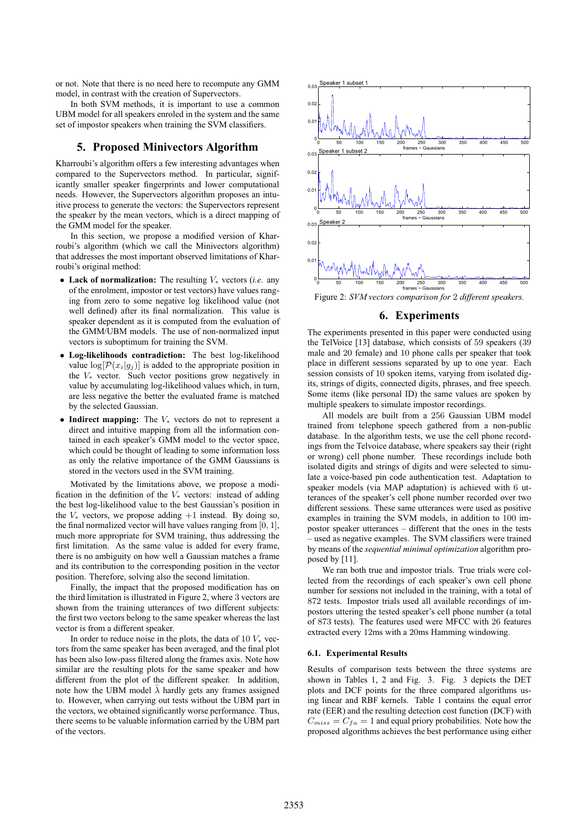or not. Note that there is no need here to recompute any GMM model, in contrast with the creation of Supervectors.

In both SVM methods, it is important to use a common UBM model for all speakers enroled in the system and the same set of impostor speakers when training the SVM classifiers.

## **5. Proposed Minivectors Algorithm**

Kharroubi's algorithm offers a few interesting advantages when compared to the Supervectors method. In particular, significantly smaller speaker fingerprints and lower computational needs. However, the Supervectors algorithm proposes an intuitive process to generate the vectors: the Supervectors represent the speaker by the mean vectors, which is a direct mapping of the GMM model for the speaker.

In this section, we propose a modified version of Kharroubi's algorithm (which we call the Minivectors algorithm) that addresses the most important observed limitations of Kharroubi's original method:

- **Lack of normalization:** The resulting V<sup>∗</sup> vectors (*i.e.* any of the enrolment, impostor or test vectors) have values ranging from zero to some negative log likelihood value (not well defined) after its final normalization. This value is speaker dependent as it is computed from the evaluation of the GMM/UBM models. The use of non-normalized input vectors is suboptimum for training the SVM.
- **Log-likelihoods contradiction:** The best log-likelihood value  $\log[\mathcal{P}(x_i|g_j)]$  is added to the appropriate position in the  $V_*$  vector. Such vector positions grow negatively in value by accumulating log-likelihood values which, in turn, are less negative the better the evaluated frame is matched by the selected Gaussian.
- **Indirect mapping:** The V<sup>∗</sup> vectors do not to represent a direct and intuitive mapping from all the information contained in each speaker's GMM model to the vector space, which could be thought of leading to some information loss as only the relative importance of the GMM Gaussians is stored in the vectors used in the SVM training.

Motivated by the limitations above, we propose a modification in the definition of the  $V_*$  vectors: instead of adding the best log-likelihood value to the best Gaussian's position in the  $V_*$  vectors, we propose adding  $+1$  instead. By doing so, the final normalized vector will have values ranging from  $[0, 1]$ , much more appropriate for SVM training, thus addressing the first limitation. As the same value is added for every frame, there is no ambiguity on how well a Gaussian matches a frame and its contribution to the corresponding position in the vector position. Therefore, solving also the second limitation.

Finally, the impact that the proposed modification has on the third limitation is illustrated in Figure 2, where 3 vectors are shown from the training utterances of two different subjects: the first two vectors belong to the same speaker whereas the last vector is from a different speaker.

In order to reduce noise in the plots, the data of 10  $V_*$  vectors from the same speaker has been averaged, and the final plot has been also low-pass filtered along the frames axis. Note how similar are the resulting plots for the same speaker and how different from the plot of the different speaker. In addition, note how the UBM model  $\bar{\lambda}$  hardly gets any frames assigned to. However, when carrying out tests without the UBM part in the vectors, we obtained significantly worse performance. Thus, there seems to be valuable information carried by the UBM part of the vectors.



Figure 2: *SVM vectors comparison for* 2 *different speakers.*

## **6. Experiments**

The experiments presented in this paper were conducted using the TelVoice [13] database, which consists of 59 speakers (39 male and 20 female) and 10 phone calls per speaker that took place in different sessions separated by up to one year. Each session consists of 10 spoken items, varying from isolated digits, strings of digits, connected digits, phrases, and free speech. Some items (like personal ID) the same values are spoken by multiple speakers to simulate impostor recordings.

All models are built from a 256 Gaussian UBM model trained from telephone speech gathered from a non-public database. In the algorithm tests, we use the cell phone recordings from the Telvoice database, where speakers say their (right or wrong) cell phone number. These recordings include both isolated digits and strings of digits and were selected to simulate a voice-based pin code authentication test. Adaptation to speaker models (via MAP adaptation) is achieved with 6 utterances of the speaker's cell phone number recorded over two different sessions. These same utterances were used as positive examples in training the SVM models, in addition to 100 impostor speaker utterances – different that the ones in the tests – used as negative examples. The SVM classifiers were trained by means of the *sequential minimal optimization* algorithm proposed by [11].

We ran both true and impostor trials. True trials were collected from the recordings of each speaker's own cell phone number for sessions not included in the training, with a total of 872 tests. Impostor trials used all available recordings of impostors uttering the tested speaker's cell phone number (a total of 873 tests). The features used were MFCC with 26 features extracted every 12ms with a 20ms Hamming windowing.

#### **6.1. Experimental Results**

Results of comparison tests between the three systems are shown in Tables 1, 2 and Fig. 3. Fig. 3 depicts the DET plots and DCF points for the three compared algorithms using linear and RBF kernels. Table 1 contains the equal error rate (EER) and the resulting detection cost function (DCF) with  $C_{miss} = C_{fa} = 1$  and equal priory probabilities. Note how the proposed algorithms achieves the best performance using either